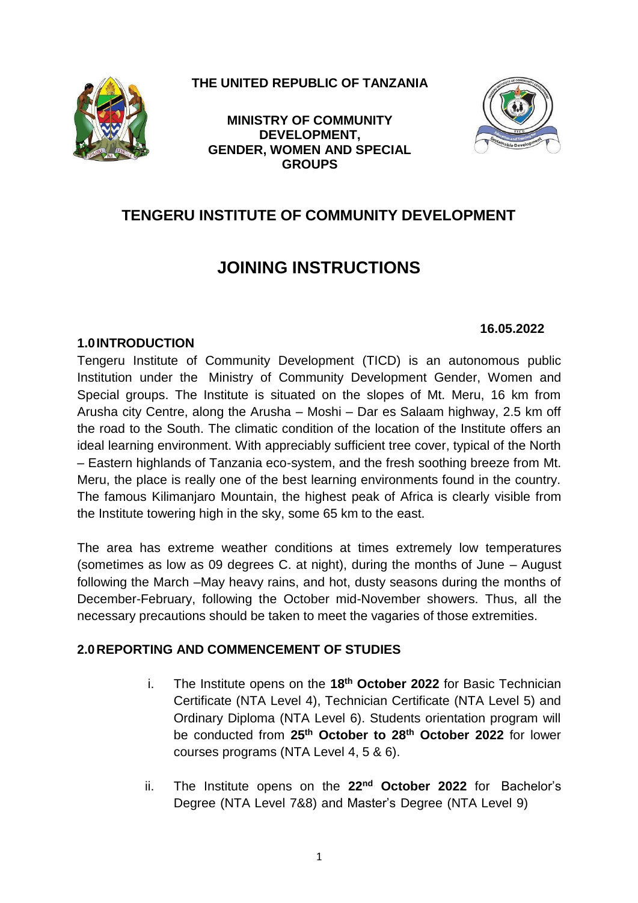# **THE UNITED REPUBLIC OF TANZANIA**



**MINISTRY OF COMMUNITY DEVELOPMENT, GENDER, WOMEN AND SPECIAL GROUPS**



**16.05.2022**

# **TENGERU INSTITUTE OF COMMUNITY DEVELOPMENT**

# **JOINING INSTRUCTIONS**

#### **1.0INTRODUCTION**

# Tengeru Institute of Community Development (TICD) is an autonomous public Institution under the Ministry of Community Development Gender, Women and Special groups. The Institute is situated on the slopes of Mt. Meru, 16 km from Arusha city Centre, along the Arusha – Moshi – Dar es Salaam highway, 2.5 km off the road to the South. The climatic condition of the location of the Institute offers an ideal learning environment. With appreciably sufficient tree cover, typical of the North – Eastern highlands of Tanzania eco-system, and the fresh soothing breeze from Mt. Meru, the place is really one of the best learning environments found in the country. The famous Kilimanjaro Mountain, the highest peak of Africa is clearly visible from the Institute towering high in the sky, some 65 km to the east.

The area has extreme weather conditions at times extremely low temperatures (sometimes as low as 09 degrees C. at night), during the months of June – August following the March –May heavy rains, and hot, dusty seasons during the months of December-February, following the October mid-November showers. Thus, all the necessary precautions should be taken to meet the vagaries of those extremities.

#### **2.0REPORTING AND COMMENCEMENT OF STUDIES**

- i. The Institute opens on the **18th October 2022** for Basic Technician Certificate (NTA Level 4), Technician Certificate (NTA Level 5) and Ordinary Diploma (NTA Level 6). Students orientation program will be conducted from **25th October to 28th October 2022** for lower courses programs (NTA Level 4, 5 & 6).
- ii. The Institute opens on the 22<sup>nd</sup> October 2022 for Bachelor's Degree (NTA Level 7&8) and Master's Degree (NTA Level 9)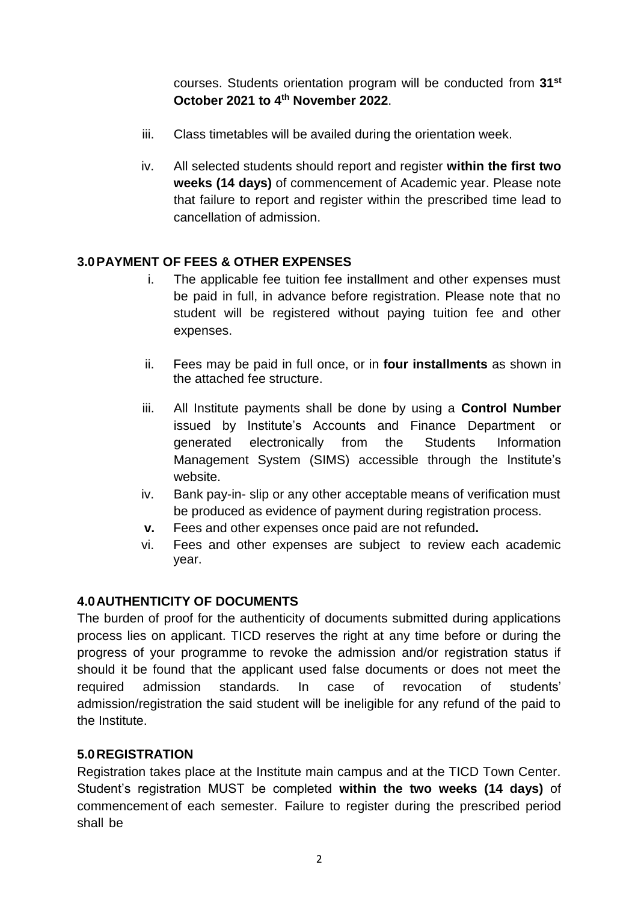courses. Students orientation program will be conducted from **31 st October 2021 to 4 th November 2022**.

- iii. Class timetables will be availed during the orientation week.
- iv. All selected students should report and register **within the first two weeks (14 days)** of commencement of Academic year. Please note that failure to report and register within the prescribed time lead to cancellation of admission.

## **3.0PAYMENT OF FEES & OTHER EXPENSES**

- i. The applicable fee tuition fee installment and other expenses must be paid in full, in advance before registration. Please note that no student will be registered without paying tuition fee and other expenses.
- ii. Fees may be paid in full once, or in **four installments** as shown in the attached fee structure.
- iii. All Institute payments shall be done by using a **Control Number** issued by Institute's Accounts and Finance Department or generated electronically from the Students Information Management System (SIMS) accessible through the Institute's website.
- iv. Bank pay-in- slip or any other acceptable means of verification must be produced as evidence of payment during registration process.
- **v.** Fees and other expenses once paid are not refunded**.**
- vi. Fees and other expenses are subject to review each academic year.

# **4.0AUTHENTICITY OF DOCUMENTS**

The burden of proof for the authenticity of documents submitted during applications process lies on applicant. TICD reserves the right at any time before or during the progress of your programme to revoke the admission and/or registration status if should it be found that the applicant used false documents or does not meet the required admission standards. In case of revocation of students' admission/registration the said student will be ineligible for any refund of the paid to the Institute.

## **5.0REGISTRATION**

Registration takes place at the Institute main campus and at the TICD Town Center. Student's registration MUST be completed **within the two weeks (14 days)** of commencement of each semester. Failure to register during the prescribed period shall be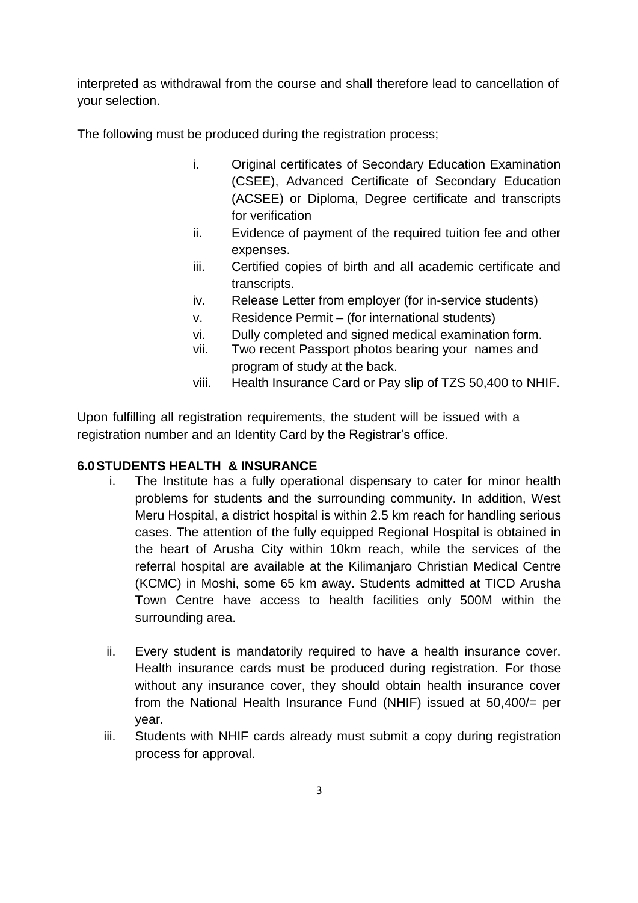interpreted as withdrawal from the course and shall therefore lead to cancellation of your selection.

The following must be produced during the registration process;

- i. Original certificates of Secondary Education Examination (CSEE), Advanced Certificate of Secondary Education (ACSEE) or Diploma, Degree certificate and transcripts for verification
- ii. Evidence of payment of the required tuition fee and other expenses.
- iii. Certified copies of birth and all academic certificate and transcripts.
- iv. Release Letter from employer (for in-service students)
- v. Residence Permit (for international students)
- vi. Dully completed and signed medical examination form.
- vii. Two recent Passport photos bearing your names and program of study at the back.
- viii. Health Insurance Card or Pay slip of TZS 50,400 to NHIF.

Upon fulfilling all registration requirements, the student will be issued with a registration number and an Identity Card by the Registrar's office.

#### **6.0STUDENTS HEALTH & INSURANCE**

- i. The Institute has a fully operational dispensary to cater for minor health problems for students and the surrounding community. In addition, West Meru Hospital, a district hospital is within 2.5 km reach for handling serious cases. The attention of the fully equipped Regional Hospital is obtained in the heart of Arusha City within 10km reach, while the services of the referral hospital are available at the Kilimanjaro Christian Medical Centre (KCMC) in Moshi, some 65 km away. Students admitted at TICD Arusha Town Centre have access to health facilities only 500M within the surrounding area.
- ii. Every student is mandatorily required to have a health insurance cover. Health insurance cards must be produced during registration. For those without any insurance cover, they should obtain health insurance cover from the National Health Insurance Fund (NHIF) issued at 50,400/= per year.
- iii. Students with NHIF cards already must submit a copy during registration process for approval.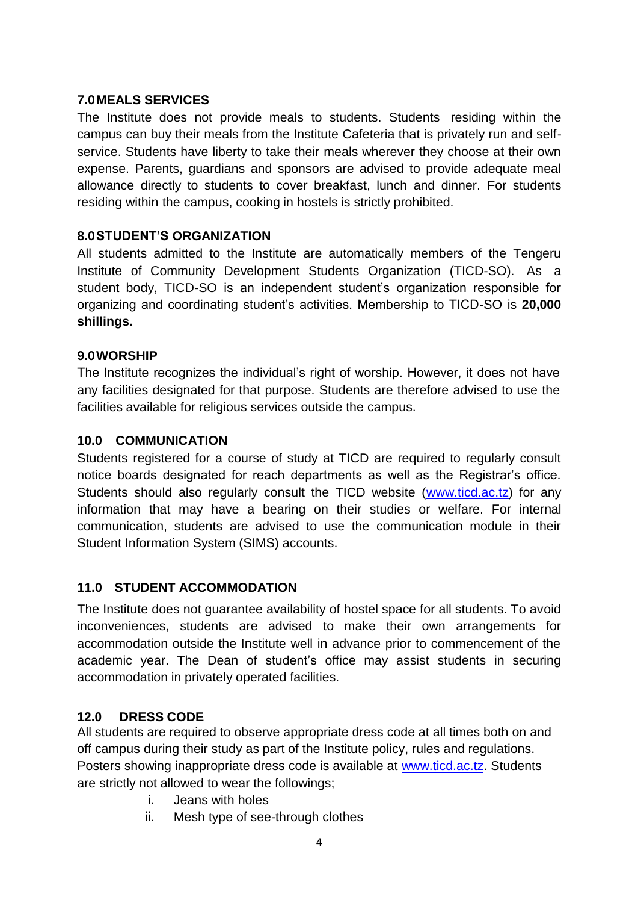## **7.0MEALS SERVICES**

The Institute does not provide meals to students. Students residing within the campus can buy their meals from the Institute Cafeteria that is privately run and selfservice. Students have liberty to take their meals wherever they choose at their own expense. Parents, guardians and sponsors are advised to provide adequate meal allowance directly to students to cover breakfast, lunch and dinner. For students residing within the campus, cooking in hostels is strictly prohibited.

#### **8.0STUDENT'S ORGANIZATION**

All students admitted to the Institute are automatically members of the Tengeru Institute of Community Development Students Organization (TICD-SO). As a student body, TICD-SO is an independent student's organization responsible for organizing and coordinating student's activities. Membership to TICD-SO is **20,000 shillings.**

#### **9.0WORSHIP**

The Institute recognizes the individual's right of worship. However, it does not have any facilities designated for that purpose. Students are therefore advised to use the facilities available for religious services outside the campus.

#### **10.0 COMMUNICATION**

Students registered for a course of study at TICD are required to regularly consult notice boards designated for reach departments as well as the Registrar's office. Students should also regularly consult the TICD website [\(www.ticd.ac.tz\)](http://www.ticd.ac.tz/) for any information that may have a bearing on their studies or welfare. For internal communication, students are advised to use the communication module in their Student Information System (SIMS) accounts.

## **11.0 STUDENT ACCOMMODATION**

The Institute does not guarantee availability of hostel space for all students. To avoid inconveniences, students are advised to make their own arrangements for accommodation outside the Institute well in advance prior to commencement of the academic year. The Dean of student's office may assist students in securing accommodation in privately operated facilities.

## **12.0 DRESS CODE**

All students are required to observe appropriate dress code at all times both on and off campus during their study as part of the Institute policy, rules and regulations. Posters showing inappropriate dress code is available at [www.ticd.ac.tz.](http://www.ticd.ac.tz/) Students are strictly not allowed to wear the followings;

- i. Jeans with holes
- ii. Mesh type of see-through clothes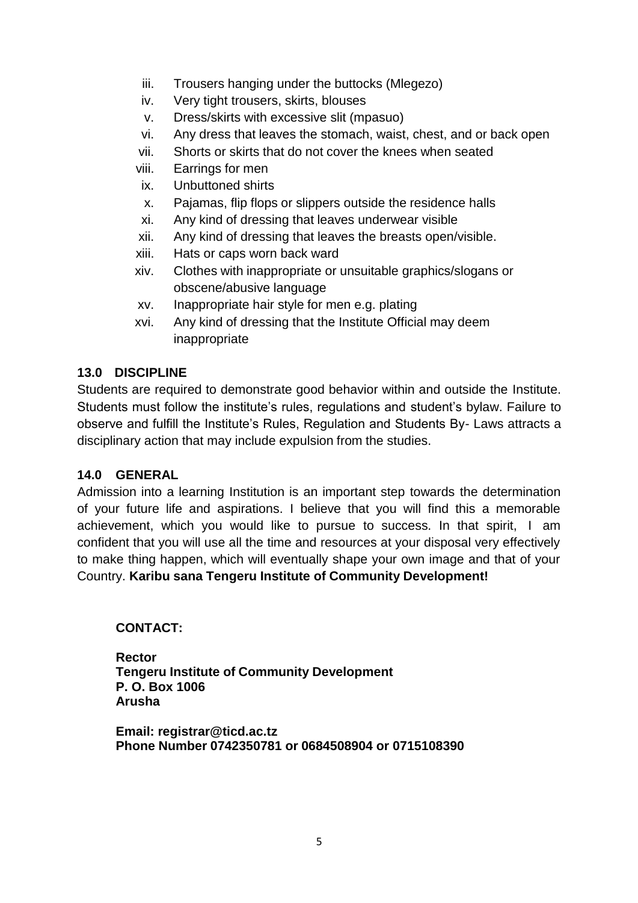- iii. Trousers hanging under the buttocks (Mlegezo)
- iv. Very tight trousers, skirts, blouses
- v. Dress/skirts with excessive slit (mpasuo)
- vi. Any dress that leaves the stomach, waist, chest, and or back open
- vii. Shorts or skirts that do not cover the knees when seated
- viii. Earrings for men
- ix. Unbuttoned shirts
- x. Pajamas, flip flops or slippers outside the residence halls
- xi. Any kind of dressing that leaves underwear visible
- xii. Any kind of dressing that leaves the breasts open/visible.
- xiii. Hats or caps worn back ward
- xiv. Clothes with inappropriate or unsuitable graphics/slogans or obscene/abusive language
- xv. Inappropriate hair style for men e.g. plating
- xvi. Any kind of dressing that the Institute Official may deem inappropriate

# **13.0 DISCIPLINE**

Students are required to demonstrate good behavior within and outside the Institute. Students must follow the institute's rules, regulations and student's bylaw. Failure to observe and fulfill the Institute's Rules, Regulation and Students By- Laws attracts a disciplinary action that may include expulsion from the studies.

## **14.0 GENERAL**

Admission into a learning Institution is an important step towards the determination of your future life and aspirations. I believe that you will find this a memorable achievement, which you would like to pursue to success. In that spirit, I am confident that you will use all the time and resources at your disposal very effectively to make thing happen, which will eventually shape your own image and that of your Country. **Karibu sana Tengeru Institute of Community Development!**

# **CONTACT:**

**Rector Tengeru Institute of Community Development P. O. Box 1006 Arusha**

**Email: [registrar@ticd.ac.tz](mailto:registrar@ticd.ac.tz) Phone Number 0742350781 or 0684508904 or 0715108390**